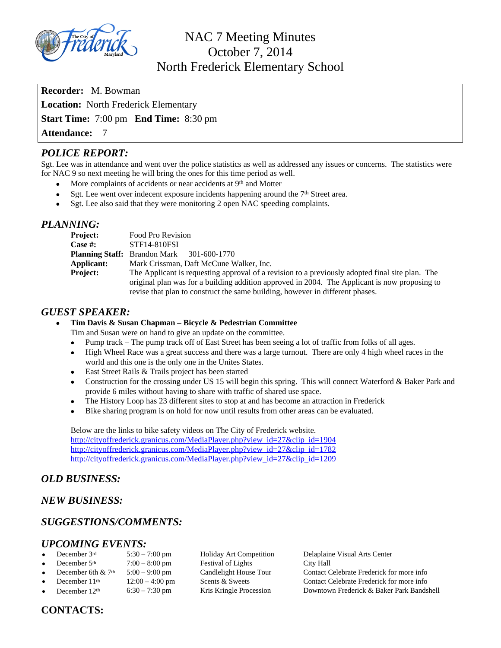

NAC 7 Meeting Minutes October 7, 2014 North Frederick Elementary School

**Recorder:** M. Bowman **Location:** North Frederick Elementary **Start Time:** 7:00 pm **End Time:** 8:30 pm **Attendance:** 7

## *POLICE REPORT:*

Sgt. Lee was in attendance and went over the police statistics as well as addressed any issues or concerns. The statistics were for NAC 9 so next meeting he will bring the ones for this time period as well.

- More complaints of accidents or near accidents at 9<sup>th</sup> and Motter
- Sgt. Lee went over indecent exposure incidents happening around the 7<sup>th</sup> Street area.
- Sgt. Lee also said that they were monitoring 2 open NAC speeding complaints.

#### *PLANNING:*

| Project:        | Food Pro Revision                                                                               |
|-----------------|-------------------------------------------------------------------------------------------------|
| <b>Case #:</b>  | <b>STF14-810FSI</b>                                                                             |
|                 | <b>Planning Staff:</b> Brandon Mark 301-600-1770                                                |
| Applicant:      | Mark Crissman, Daft McCune Walker, Inc.                                                         |
| <b>Project:</b> | The Applicant is requesting approval of a revision to a previously adopted final site plan. The |
|                 | original plan was for a building addition approved in 2004. The Applicant is now proposing to   |
|                 | revise that plan to construct the same building, however in different phases.                   |

#### *GUEST SPEAKER:*

- **Tim Davis & Susan Chapman – Bicycle & Pedestrian Committee**
	- Tim and Susan were on hand to give an update on the committee.
	- Pump track The pump track off of East Street has been seeing a lot of traffic from folks of all ages.
	- High Wheel Race was a great success and there was a large turnout. There are only 4 high wheel races in the world and this one is the only one in the Unites States.
	- East Street Rails & Trails project has been started
	- Construction for the crossing under US 15 will begin this spring. This will connect Waterford & Baker Park and provide 6 miles without having to share with traffic of shared use space.
	- The History Loop has 23 different sites to stop at and has become an attraction in Frederick
	- Bike sharing program is on hold for now until results from other areas can be evaluated.

Below are the links to bike safety videos on The City of Frederick website. [http://cityoffrederick.granicus.com/MediaPlayer.php?view\\_id=27&clip\\_id=1904](http://cityoffrederick.granicus.com/MediaPlayer.php?view_id=27&clip_id=1904) [http://cityoffrederick.granicus.com/MediaPlayer.php?view\\_id=27&clip\\_id=1782](http://cityoffrederick.granicus.com/MediaPlayer.php?view_id=27&clip_id=1782) [http://cityoffrederick.granicus.com/MediaPlayer.php?view\\_id=27&clip\\_id=1209](http://cityoffrederick.granicus.com/MediaPlayer.php?view_id=27&clip_id=1209)

### *OLD BUSINESS:*

#### *NEW BUSINESS:*

### *SUGGESTIONS/COMMENTS:*

# *UPCOMING EVENTS:*<br>• December 3rd 5:30 – 7:00 pm

- 
- 
- 
- 
- 
- $7:00 8:00$  pm Festival of Lights City Hall

December 3rd  $5:30 - 7:00 \text{ pm}$  Holiday Art Competition Delaplaine Visual Arts Center December 5<sup>th</sup>  $7:00 - 8:00 \text{ pm}$  Festival of Lights City Hall December 6th &  $7th$  5:00 – 9:00 pm Candlelight House Tour Contact Celebrate Frederick for more info December 11<sup>th</sup> 12:00 – 4:00 pm Scents & Sweets Contact Celebrate Frederick for more info December  $12<sup>th</sup>$  6:30 – 7:30 pm Kris Kringle Procession Downtown Frederick & Baker Park Bandshell

#### **CONTACTS:**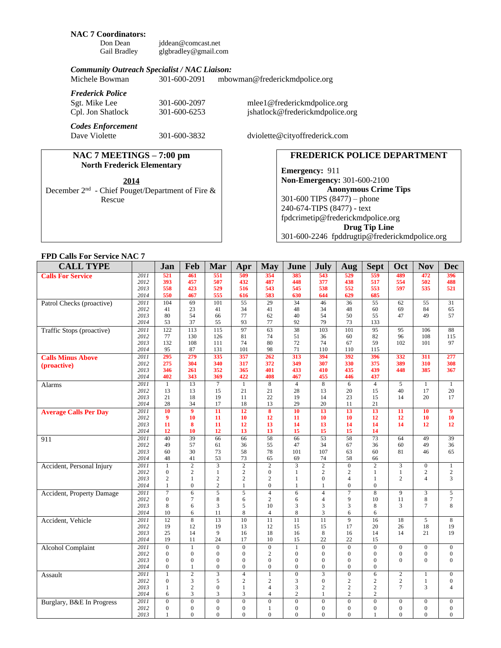# **NAC 7 Coordinators:**

Don Dean [jddean@comcast.net](mailto:jddean@comcast.net)<br>Gail Bradley glgbradley@gmail.co [glgbradley@gmail.com](mailto:glgbradley@gmail.com)

#### *Community Outreach Specialist / NAC Liaison:*

| Michele Bowman          | 301-600-2091 | mbowman@frederickmdpolice.org |
|-------------------------|--------------|-------------------------------|
| <b>Frederick Police</b> |              |                               |

| Sgt. Mike Lee                             | 301-600-2097 | mlee1@frederickmdpolice.org     |
|-------------------------------------------|--------------|---------------------------------|
| Cpl. Jon Shatlock                         | 301-600-6253 | jshatlock@frederickmdpolice.org |
| <b>Codes Enforcement</b><br>Dave Violette | 301-600-3832 | dviolette@cityoffrederick.com   |

#### **NAC 7 MEETINGS – 7:00 pm North Frederick Elementary**

December 2nd - Chief Pouget/Department of Fire & Rescue

# **FREDERICK POLICE DEPARTMENT**

**Emergency:** 911 **Non-Emergency:** 301-600-2100 **Anonymous Crime Tips** 301-600 TIPS (8477) – phone 240-674-TIPS (8477) - text [fpdcrimetip@frederickmdpolice.org](mailto:fpdcrimetip@frederickmdpolice.org) **Drug Tip Line** 301-600-2246 fpddrugtip@frederickmdpolice.org

#### **FPD Calls For Service NAC 7**

| <b>CALL TYPE</b>             |                   | Jan                            | Feb                      | Mar                          | Apr                            | <b>May</b>                       | June                             | July                             | Aug                                | <b>Sept</b>                  | Oct                            | <b>Nov</b>                         | <b>Dec</b>                           |
|------------------------------|-------------------|--------------------------------|--------------------------|------------------------------|--------------------------------|----------------------------------|----------------------------------|----------------------------------|------------------------------------|------------------------------|--------------------------------|------------------------------------|--------------------------------------|
| <b>Calls For Service</b>     | 2011              | 521                            | 461                      | 551                          | 509                            | 354                              | 385                              | 543                              | 529                                | 559                          | 489                            | 472                                | 396                                  |
|                              | 2012              | 393                            | 457                      | 507                          | 432                            | 487                              | 448                              | 377                              | 438                                | 517                          | 554                            | 502                                | 488                                  |
|                              | 2013              | 558                            | 423                      | 529                          | 516                            | 543                              | 545                              | 538                              | 552                                | 553                          | 597                            | 535                                | 521                                  |
|                              | 2014              | 550                            | 467                      | 555                          | 616                            | 583                              | 630                              | 644                              | 629                                | 685                          |                                |                                    |                                      |
| Patrol Checks (proactive)    | 2011              | 104                            | 69                       | 101                          | 55                             | 29                               | 34                               | 46                               | 36                                 | 55                           | 62                             | 55                                 | 31                                   |
|                              | 2012              | 41<br>80                       | 23<br>54                 | 41                           | 34                             | 41                               | 48<br>40                         | 34                               | 48                                 | 60                           | 69                             | 84<br>49                           | 65<br>57                             |
|                              | 2013<br>2014      | 53                             | 37                       | 66<br>55                     | 77<br>93                       | 62<br>77                         | 92                               | 54<br>79                         | 50<br>73                           | 55<br>133                    | 47                             |                                    |                                      |
| Traffic Stops (proactive)    | $\overline{2011}$ | 122                            | 113                      | $\overline{115}$             | $\overline{97}$                | $\overline{63}$                  | $\overline{38}$                  | 103                              | $\overline{101}$                   | $\overline{95}$              | 95                             | 106                                | 88                                   |
|                              | 2012              | 77                             | 130                      | 126                          | 81                             | 74                               | 51                               | 36                               | 60                                 | 82                           | 96                             | 108                                | 115                                  |
|                              | 2013              | 132                            | 108                      | 111                          | 74                             | 80                               | 72                               | 74                               | 67                                 | 59                           | 102                            | 101                                | 97                                   |
|                              | 2014              | 95                             | 87                       | 131                          | 101                            | 98                               | 71                               | 110                              | 110                                | 115                          |                                |                                    |                                      |
| <b>Calls Minus Above</b>     | $\overline{2011}$ | 295                            | 279                      | 335                          | 357                            | 262                              | 313                              | 394                              | 392                                | 396                          | 332                            | 311                                | 277                                  |
| (proactive)                  | 2012              | 275                            | 304                      | 340                          | 317                            | 372                              | 349                              | 307                              | 330                                | 375                          | 389                            | 310                                | 308                                  |
|                              | 2013              | 346                            | 261                      | 352                          | 365                            | 401                              | 433                              | 410                              | 435                                | 439                          | 448                            | 385                                | 367                                  |
|                              | 2014              | 402                            | 343                      | 369                          | 422                            | 408                              | 467                              | 455                              | 446                                | 437                          |                                |                                    |                                      |
| Alarms                       | 2011              | $\overline{1}$                 | $\overline{13}$          | $\overline{7}$               | $\overline{1}$                 | $\overline{8}$                   | $\overline{4}$                   | $\overline{8}$                   | $\overline{6}$                     | $\overline{4}$               | $\overline{5}$                 | $\overline{1}$                     | $\overline{1}$                       |
|                              | 2012              | 13                             | 13                       | 15                           | 21                             | 21                               | 28                               | 13                               | 20                                 | 15                           | 40                             | 17                                 | 20                                   |
|                              | 2013<br>2014      | 21<br>28                       | 18<br>34                 | 19<br>17                     | 11<br>18                       | 22<br>13                         | 19<br>29                         | 14<br>20                         | 23<br>11                           | 15<br>21                     | 14                             | 20                                 | 17                                   |
|                              | 2011              | 10                             | $\overline{9}$           | 11                           | 12                             | $\overline{\mathbf{8}}$          | 10                               | 13                               | 13                                 | 13                           | 11                             | 10                                 | $\boldsymbol{9}$                     |
| <b>Average Calls Per Day</b> | 2012              | 9                              | 10                       | 11                           | 10                             | 12                               | 11                               | 10                               | 10                                 | 12                           | 12                             | 10                                 | 10                                   |
|                              | 2013              | 11                             | 8                        | 11                           | 12                             | 13                               | 14                               | 13                               | 14                                 | 14                           | 14                             | 12                                 | 12                                   |
|                              | 2014              | 12                             | 10                       | 12                           | 13                             | 13                               | 15                               | 15                               | 15                                 | 14                           |                                |                                    |                                      |
| 911                          | 2011              | 40                             | 39                       | 66                           | 66                             | $\overline{58}$                  | 66                               | $\overline{53}$                  | $\overline{58}$                    | $\overline{73}$              | 64                             | 49                                 | 39                                   |
|                              | 2012              | 49                             | 57                       | 61                           | 36                             | 55                               | 47                               | 34                               | 67                                 | 36                           | 60                             | 49                                 | 36                                   |
|                              | 2013              | 60                             | 30                       | 73                           | 58                             | 78                               | 101                              | 107                              | 63                                 | 60                           | 81                             | 46                                 | 65                                   |
|                              | 2014              | 48                             | 41                       | 53                           | 73                             | 65                               | 69                               | 74                               | 58                                 | 66                           |                                |                                    |                                      |
| Accident, Personal Injury    | 2011              | $\mathbf{1}$                   | $\overline{2}$           | $\overline{3}$               | $\overline{2}$                 | $\overline{2}$                   | $\overline{3}$                   | $\overline{2}$                   | $\overline{0}$                     | $\overline{2}$               | $\overline{\mathbf{3}}$        | $\overline{0}$                     | $\mathbf{1}$                         |
|                              | 2012              | $\mathbf{0}$                   | $\overline{c}$           | $\mathbf{1}$                 | $\overline{c}$                 | $\mathbf{0}$                     | $\mathbf{1}$                     | $\sqrt{2}$                       | $\overline{c}$                     | $\mathbf{1}$                 | $\mathbf{1}$                   | $\overline{c}$                     | $\sqrt{2}$                           |
|                              | 2013<br>2014      | $\overline{2}$<br>$\mathbf{1}$ | 1<br>$\mathbf{0}$        | 2<br>$\sqrt{2}$              | $\overline{c}$<br>$\mathbf{1}$ | $\overline{c}$<br>$\overline{0}$ | 1<br>$\mathbf{1}$                | $\boldsymbol{0}$<br>$\mathbf{1}$ | $\overline{4}$<br>$\boldsymbol{0}$ | $\mathbf{1}$<br>$\mathbf{0}$ | $\overline{2}$                 | $\overline{4}$                     | 3                                    |
|                              | 2011              | $\tau$                         | $\overline{6}$           | 5                            | $\overline{5}$                 | $\overline{4}$                   | 6                                | $\overline{4}$                   | $\overline{7}$                     | $\overline{8}$               | $\overline{9}$                 | 3                                  | $\sqrt{5}$                           |
| Accident, Property Damage    | 2012              | $\overline{0}$                 | 7                        | 8                            | 6                              | $\mathbf{2}$                     | 6                                | $\overline{4}$                   | 9                                  | 10                           | 11                             | 8                                  | $\tau$                               |
|                              | 2013              | 8                              | 6                        | 3                            | 5                              | 10                               | 3                                | 3                                | $\mathfrak{Z}$                     | 8                            | 3                              | $\overline{7}$                     | 8                                    |
|                              | 2014              | 10                             | 6                        | 11                           | 8                              | $\overline{4}$                   | $\,8\,$                          | 3                                | 6                                  | 6                            |                                |                                    |                                      |
| Accident, Vehicle            | 2011              | 12                             | $\overline{8}$           | 13                           | $\overline{10}$                | 11                               | 11                               | $\overline{11}$                  | $\overline{9}$                     | 16                           | 18                             | $\overline{5}$                     | 8                                    |
|                              | 2012              | 19                             | 12                       | 19                           | 13                             | 12                               | 15                               | 15                               | 17                                 | 20                           | 26                             | 18                                 | 19                                   |
|                              | 2013              | 25                             | 14                       | 9                            | 16                             | 18                               | 16                               | 8                                | 16                                 | 14                           | 14                             | 21                                 | 19                                   |
|                              | 2014              | 19                             | 11                       | 24                           | 17                             | 10                               | 15                               | 22                               | 22                                 | 15                           |                                |                                    |                                      |
| <b>Alcohol Complaint</b>     | 2011              | $\overline{0}$                 | $\mathbf{1}$             | $\overline{0}$               | $\overline{0}$                 | $\overline{0}$                   | $\mathbf{1}$                     | $\mathbf{0}$                     | $\mathbf{0}$                       | $\overline{0}$               | $\mathbf{0}$                   | $\boldsymbol{0}$                   | $\mathbf{0}$                         |
|                              | 2012<br>2013      | $\Omega$<br>$\overline{0}$     | $\Omega$<br>$\mathbf{0}$ | $\mathbf{0}$<br>$\mathbf{0}$ | $\mathbf{0}$<br>$\mathbf{0}$   | $\mathbf{2}$<br>$\overline{0}$   | $\mathbf{0}$<br>$\boldsymbol{0}$ | $\mathbf{0}$<br>$\boldsymbol{0}$ | $\mathbf{0}$<br>$\boldsymbol{0}$   | $\Omega$<br>$\mathbf{0}$     | $\mathbf{0}$<br>$\overline{0}$ | $\boldsymbol{0}$<br>$\overline{0}$ | $\boldsymbol{0}$<br>$\boldsymbol{0}$ |
|                              | 2014              | $\overline{0}$                 | $\mathbf{1}$             | $\mathbf{0}$                 | $\mathbf{0}$                   | $\overline{0}$                   | $\mathbf{0}$                     | $\overline{0}$                   | $\overline{0}$                     | $\mathbf{0}$                 |                                |                                    |                                      |
| Assault                      | 2011              | 1                              | $\overline{2}$           | $\overline{3}$               | $\overline{4}$                 | $\mathbf{1}$                     | $\overline{0}$                   | $\overline{3}$                   | $\overline{0}$                     | 6                            | $\mathbf{2}$                   | $\mathbf{1}$                       | $\overline{0}$                       |
|                              | 2012              | $\overline{0}$                 | 3                        | 5                            | $\overline{c}$                 | $\overline{c}$                   | 3                                | $\overline{0}$                   | $\overline{c}$                     | $\overline{2}$               | $\sqrt{2}$                     | $\mathbf{1}$                       | $\boldsymbol{0}$                     |
|                              | 2013              | 1                              | $\mathfrak{2}$           | $\mathbf{0}$                 | 1                              | $\overline{4}$                   | 3                                | $\overline{2}$                   | $\mathbf{2}$                       | $\overline{c}$               | $7\phantom{.0}$                | 3                                  | $\overline{4}$                       |
|                              | 2014              | 6                              | 3                        | 3                            | 3                              | $\overline{4}$                   | $\overline{c}$                   | $\mathbf{1}$                     | $\overline{2}$                     | $\overline{2}$               |                                |                                    |                                      |
| Burglary, B&E In Progress    | 2011              | $\overline{0}$                 | $\overline{0}$           | $\overline{0}$               | $\overline{0}$                 | $\overline{0}$                   | $\overline{0}$                   | $\overline{0}$                   | $\overline{0}$                     | $\overline{0}$               | $\mathbf{0}$                   | $\boldsymbol{0}$                   | $\overline{0}$                       |
|                              | 2012              | $\overline{0}$                 | $\mathbf{0}$             | $\mathbf{0}$                 | $\mathbf{0}$                   | 1                                | $\mathbf{0}$                     | $\mathbf{0}$                     | $\mathbf{0}$                       | $\Omega$                     | $\mathbf{0}$                   | $\mathbf{0}$                       | $\mathbf{0}$                         |
|                              | 2013              | 1                              | $\Omega$                 | $\Omega$                     | $\Omega$                       | $\Omega$                         | $\mathbf{0}$                     | $\theta$                         | $\theta$                           | $\mathbf{1}$                 | $\theta$                       | $\overline{0}$                     | $\overline{0}$                       |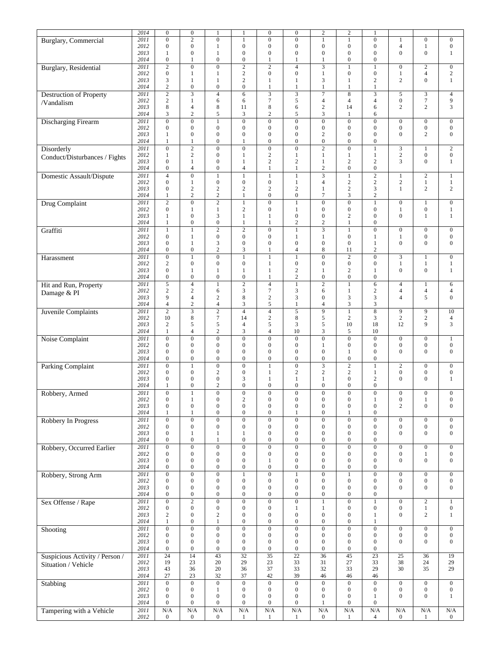|                                | 2014 | $\boldsymbol{0}$ | $\boldsymbol{0}$         | 1                | 1                        | $\boldsymbol{0}$        | $\boldsymbol{0}$ | $\sqrt{2}$              | $\overline{\mathbf{c}}$ | -1               |                  |                  |                  |
|--------------------------------|------|------------------|--------------------------|------------------|--------------------------|-------------------------|------------------|-------------------------|-------------------------|------------------|------------------|------------------|------------------|
|                                | 2011 | $\mathbf{0}$     | $\overline{2}$           | $\overline{0}$   | $\mathbf{1}$             | $\overline{0}$          | $\boldsymbol{0}$ | $\mathbf{1}$            | $\mathbf{1}$            | $\overline{0}$   |                  | $\mathbf{0}$     | $\boldsymbol{0}$ |
| Burglary, Commercial           |      |                  |                          |                  |                          |                         |                  |                         |                         |                  | $\mathbf{1}$     |                  |                  |
|                                | 2012 | $\mathbf{0}$     | $\boldsymbol{0}$         | $\mathbf{1}$     | $\boldsymbol{0}$         | $\boldsymbol{0}$        | $\boldsymbol{0}$ | $\boldsymbol{0}$        | $\boldsymbol{0}$        | $\overline{0}$   | $\overline{4}$   | $\mathbf{1}$     | $\boldsymbol{0}$ |
|                                | 2013 | 1                | $\boldsymbol{0}$         | $\mathbf{1}$     | $\boldsymbol{0}$         | $\boldsymbol{0}$        | $\boldsymbol{0}$ | $\boldsymbol{0}$        | $\boldsymbol{0}$        | $\overline{0}$   | $\overline{0}$   | $\boldsymbol{0}$ | $\mathbf{1}$     |
|                                | 2014 | $\mathbf{0}$     | 1                        | $\boldsymbol{0}$ | $\boldsymbol{0}$         | 1                       | 1                | 1                       | $\boldsymbol{0}$        | $\boldsymbol{0}$ |                  |                  |                  |
| Burglary, Residential          | 2011 | $\overline{c}$   | $\boldsymbol{0}$         | $\boldsymbol{0}$ | $\overline{2}$           | $\sqrt{2}$              | $\overline{4}$   | 3                       | $\mathbf{1}$            | $\mathbf{1}$     | $\mathbf{0}$     | $\overline{c}$   | $\mathbf{0}$     |
|                                | 2012 | $\mathbf{0}$     | 1                        | $\mathbf{1}$     | $\sqrt{2}$               | $\boldsymbol{0}$        | $\boldsymbol{0}$ | $\mathbf{1}$            | $\boldsymbol{0}$        | $\boldsymbol{0}$ | $\mathbf{1}$     | $\overline{4}$   | $\overline{c}$   |
|                                | 2013 | 3                | $\mathbf{1}$             | $\mathbf{1}$     | $\overline{c}$           | $\mathbf{1}$            | 1                | 3                       | 1                       | $\mathbf{2}$     | 2                | $\boldsymbol{0}$ | $\mathbf{1}$     |
|                                | 2014 | 2                | $\boldsymbol{0}$         | $\boldsymbol{0}$ | $\boldsymbol{0}$         | $\mathbf{1}$            | $\mathbf{1}$     | $\mathbf{1}$            | $\mathbf{1}$            | $\mathbf{1}$     |                  |                  |                  |
| <b>Destruction of Property</b> | 2011 | $\mathfrak{2}$   | 3                        | $\overline{4}$   | 6                        | $\mathfrak{Z}$          | 3                | $\overline{7}$          | 8                       | 3                | 5                | 3                | $\overline{4}$   |
|                                | 2012 | $\sqrt{2}$       | $\mathbf{1}$             | 6                | 6                        | $\boldsymbol{7}$        | 5                | $\overline{4}$          | $\overline{4}$          | $\overline{4}$   | $\boldsymbol{0}$ | $\boldsymbol{7}$ | 9                |
| /Vandalism                     | 2013 | 8                | $\overline{4}$           | 8                | 11                       | $\,8\,$                 | 6                | $\sqrt{2}$              | 14                      | 6                | $\overline{c}$   | 2                | 3                |
|                                | 2014 | 3                | $\overline{c}$           | 5                | 3                        | $\mathbf{2}$            | 5                | 3                       | $\mathbf{1}$            | 6                |                  |                  |                  |
|                                |      |                  |                          |                  |                          |                         |                  |                         |                         |                  |                  |                  |                  |
| Discharging Firearm            | 2011 | $\overline{0}$   | $\boldsymbol{0}$         | $\mathbf{1}$     | $\overline{0}$           | $\overline{0}$          | $\overline{0}$   | $\overline{0}$          | $\boldsymbol{0}$        | $\overline{0}$   | $\boldsymbol{0}$ | $\boldsymbol{0}$ | $\boldsymbol{0}$ |
|                                | 2012 | $\mathbf{0}$     | $\boldsymbol{0}$         | $\boldsymbol{0}$ | $\boldsymbol{0}$         | $\boldsymbol{0}$        | $\overline{0}$   | $\boldsymbol{0}$        | $\overline{0}$          | $\overline{0}$   | $\boldsymbol{0}$ | $\boldsymbol{0}$ | $\mathbf{0}$     |
|                                | 2013 | $\mathbf{1}$     | $\boldsymbol{0}$         | $\boldsymbol{0}$ | $\boldsymbol{0}$         | $\boldsymbol{0}$        | $\boldsymbol{0}$ | $\overline{c}$          | $\boldsymbol{0}$        | $\mathbf{0}$     | $\overline{0}$   | $\overline{2}$   | $\mathbf{0}$     |
|                                | 2014 | $\mathbf{1}$     | 1                        | $\boldsymbol{0}$ | $\mathbf{1}$             | $\boldsymbol{0}$        | $\overline{0}$   | $\boldsymbol{0}$        | $\boldsymbol{0}$        | $\boldsymbol{0}$ |                  |                  |                  |
| Disorderly                     | 2011 | $\boldsymbol{0}$ | $\overline{2}$           | $\overline{0}$   | $\overline{0}$           | $\overline{0}$          | $\boldsymbol{0}$ | $\overline{2}$          | $\overline{0}$          | $\mathbf{1}$     | 3                | 1                | $\overline{c}$   |
| Conduct/Disturbances / Fights  | 2012 | 1                | $\sqrt{2}$               | $\boldsymbol{0}$ | $\mathbf{1}$             | $\sqrt{2}$              | $\mathbf{1}$     | $\mathbf{1}$            | $\mathbf{1}$            | $\mathbf{1}$     | $\sqrt{2}$       | $\boldsymbol{0}$ | $\boldsymbol{0}$ |
|                                | 2013 | $\mathbf{0}$     | $\mathbf{1}$             | $\boldsymbol{0}$ | $\mathbf{1}$             | $\sqrt{2}$              | $\sqrt{2}$       | $\mathbf{1}$            | $\sqrt{2}$              | $\sqrt{2}$       | 3                | $\boldsymbol{0}$ | $\mathbf{1}$     |
|                                | 2014 | $\boldsymbol{0}$ | $\overline{\mathcal{L}}$ | $\boldsymbol{0}$ | $\overline{\mathcal{L}}$ | $\mathbf{1}$            | $\mathbf{1}$     | $\sqrt{2}$              | $\boldsymbol{0}$        | $\boldsymbol{0}$ |                  |                  |                  |
| Domestic Assault/Dispute       | 2011 | $\overline{4}$   | $\overline{0}$           | $\mathbf{1}$     | $\mathbf{1}$             | $\mathbf{1}$            | $\mathbf{1}$     | 3                       | $\mathbf{1}$            | $\overline{c}$   | $\mathbf{1}$     | $\overline{c}$   | $\mathbf{1}$     |
|                                | 2012 | $\mathbf{0}$     | $\mathbf{1}$             | $\boldsymbol{0}$ | $\boldsymbol{0}$         | $\boldsymbol{0}$        | $\mathbf{1}$     | 4                       | $\sqrt{2}$              | $\mathbf{2}$     | $\sqrt{2}$       | $\mathbf{1}$     | $\mathbf{1}$     |
|                                | 2013 | $\mathbf{0}$     | $\overline{c}$           | $\sqrt{2}$       | $\overline{c}$           | $\sqrt{2}$              | $\overline{c}$   | $\mathbf{1}$            | $\sqrt{2}$              | 3                | $\mathbf{1}$     | $\overline{c}$   | $\overline{c}$   |
|                                | 2014 | 1                | $\overline{c}$           | $\overline{c}$   | $\mathbf{1}$             | $\boldsymbol{0}$        | $\boldsymbol{0}$ | $\tau$                  | 3                       | $\overline{c}$   |                  |                  |                  |
|                                |      | $\overline{2}$   | $\overline{0}$           |                  |                          | $\overline{0}$          |                  | $\overline{0}$          | $\overline{0}$          | $\mathbf{1}$     |                  |                  |                  |
| Drug Complaint                 | 2011 |                  |                          | $\overline{2}$   | $\mathbf{1}$             |                         | $\mathbf{1}$     |                         |                         |                  | $\boldsymbol{0}$ | 1                | $\boldsymbol{0}$ |
|                                | 2012 | $\mathbf{0}$     | $\mathbf{1}$             | $\mathbf{1}$     | $\overline{c}$           | $\boldsymbol{0}$        | $\mathbf{1}$     | $\boldsymbol{0}$        | $\boldsymbol{0}$        | $\boldsymbol{0}$ | $\mathbf{1}$     | $\mathbf{0}$     | $\mathbf{1}$     |
|                                | 2013 | $\mathbf{1}$     | $\boldsymbol{0}$         | 3                | $\mathbf{1}$             | $\mathbf{1}$            | $\boldsymbol{0}$ | $\boldsymbol{0}$        | $\overline{c}$          | $\overline{0}$   | $\overline{0}$   | $\mathbf{1}$     | $\mathbf{1}$     |
|                                | 2014 | $\mathbf{1}$     | $\boldsymbol{0}$         | $\boldsymbol{0}$ | $\mathbf{1}$             | $\mathbf{1}$            | $\overline{c}$   | $\sqrt{2}$              | $\mathbf{1}$            | $\boldsymbol{0}$ |                  |                  |                  |
| Graffiti                       | 2011 | $\mathbf{1}$     | $\mathbf{1}$             | $\overline{2}$   | $\overline{2}$           | $\overline{0}$          | $\mathbf{1}$     | 3                       | $\mathbf{1}$            | $\overline{0}$   | $\boldsymbol{0}$ | $\boldsymbol{0}$ | $\boldsymbol{0}$ |
|                                | 2012 | $\mathbf{0}$     | $\mathbf{1}$             | $\boldsymbol{0}$ | $\boldsymbol{0}$         | $\boldsymbol{0}$        | $\mathbf{1}$     | $\mathbf{1}$            | $\boldsymbol{0}$        | 1                | $\mathbf{1}$     | $\boldsymbol{0}$ | $\mathbf{0}$     |
|                                | 2013 | $\mathbf{0}$     | $\mathbf{1}$             | 3                | $\mathbf{0}$             | $\boldsymbol{0}$        | $\mathbf{0}$     | $\boldsymbol{0}$        | $\mathbf{0}$            | $\mathbf{1}$     | $\overline{0}$   | $\boldsymbol{0}$ | $\boldsymbol{0}$ |
|                                | 2014 | $\boldsymbol{0}$ | $\boldsymbol{0}$         | $\overline{c}$   | 3                        | $\mathbf{1}$            | $\overline{4}$   | 8                       | 11                      | $\mathbf{2}$     |                  |                  |                  |
| Harassment                     | 2011 | $\boldsymbol{0}$ | $\mathbf{1}$             | $\overline{0}$   | $\overline{1}$           | $\mathbf{1}$            | $\mathbf{1}$     | $\overline{0}$          | $\overline{2}$          | $\overline{0}$   | 3                | $\mathbf{1}$     | $\mathbf{0}$     |
|                                | 2012 | $\mathbf{2}$     | $\boldsymbol{0}$         | $\boldsymbol{0}$ | $\boldsymbol{0}$         | $\mathbf{1}$            | $\boldsymbol{0}$ | $\boldsymbol{0}$        | $\boldsymbol{0}$        | $\boldsymbol{0}$ | $\mathbf{1}$     | $\mathbf{1}$     | $\mathbf{1}$     |
|                                | 2013 | $\mathbf{0}$     | 1                        | 1                | 1                        | 1                       | $\sqrt{2}$       | 1                       | $\overline{c}$          | 1                | $\overline{0}$   | $\overline{0}$   | $\mathbf{1}$     |
|                                | 2014 | $\mathbf{0}$     | $\boldsymbol{0}$         | $\boldsymbol{0}$ | $\boldsymbol{0}$         | $\mathbf{1}$            | $\mathbf{2}$     | $\boldsymbol{0}$        | $\boldsymbol{0}$        | $\boldsymbol{0}$ |                  |                  |                  |
|                                | 2011 | 5                | $\overline{4}$           | $\mathbf{1}$     | $\overline{2}$           | $\overline{4}$          | $\mathbf{1}$     | $\overline{2}$          | $\mathbf{1}$            | 6                | $\overline{4}$   | $\mathbf{1}$     | 6                |
| Hit and Run, Property          | 2012 | $\mathbf{2}$     | $\sqrt{2}$               | 6                | $\mathfrak{Z}$           | $\boldsymbol{7}$        | 3                | 6                       | $\mathbf{1}$            | $\overline{c}$   | $\overline{4}$   | $\overline{4}$   | $\overline{4}$   |
| Damage & PI                    |      | 9                |                          |                  |                          |                         |                  |                         |                         |                  |                  |                  |                  |
|                                | 2013 |                  | $\overline{4}$           | $\sqrt{2}$       | $\,$ 8 $\,$              | $\sqrt{2}$              | 3                | $\boldsymbol{0}$        | 3                       | 3                | $\overline{4}$   | 5                | $\boldsymbol{0}$ |
|                                | 2014 | $\overline{4}$   | $\sqrt{2}$               | $\overline{4}$   | 3                        | 5                       | $\mathbf{1}$     | 4                       | 3                       | 3                |                  |                  |                  |
| Juvenile Complaints            | 2011 | $\overline{c}$   | $\overline{3}$           | $\overline{2}$   | $\overline{4}$           | $\overline{4}$          | $\overline{5}$   | $\overline{9}$          | $\mathbf{1}$            | $\overline{8}$   | 9                | 9                | 10               |
|                                | 2012 | 10               | $\,$ 8 $\,$              | $\tau$           | 14                       | $\sqrt{2}$              | 8                | 5                       | $\mathbf{2}$            | 3                | $\overline{c}$   | $\overline{c}$   | $\overline{4}$   |
|                                | 2013 | 2                | 5                        | 5                | $\overline{4}$           | $\sqrt{5}$              | 3                | 5                       | 10                      | 18               | 12               | 9                | 3                |
|                                | 2014 | $\mathbf{1}$     | $\overline{4}$           | $\sqrt{2}$       | 3                        | $\overline{4}$          | 10               | 3                       | 5                       | 10               |                  |                  |                  |
| Noise Complaint                | 2011 | $\boldsymbol{0}$ | $\boldsymbol{0}$         | $\boldsymbol{0}$ | $\overline{0}$           | $\boldsymbol{0}$        | $\boldsymbol{0}$ | $\overline{0}$          | $\overline{0}$          | $\boldsymbol{0}$ | $\boldsymbol{0}$ | $\boldsymbol{0}$ | $\mathbf{1}$     |
|                                | 2012 | $\mathbf{0}$     | $\boldsymbol{0}$         | $\boldsymbol{0}$ | $\boldsymbol{0}$         | $\boldsymbol{0}$        | $\boldsymbol{0}$ | 1                       | $\boldsymbol{0}$        | $\mathbf{0}$     | $\boldsymbol{0}$ | $\boldsymbol{0}$ | $\boldsymbol{0}$ |
|                                | 2013 | $\mathbf{0}$     | $\boldsymbol{0}$         | $\boldsymbol{0}$ | $\boldsymbol{0}$         | $\boldsymbol{0}$        | $\boldsymbol{0}$ | $\boldsymbol{0}$        | $\mathbf{1}$            | $\mathbf{0}$     | $\overline{0}$   | $\mathbf{0}$     | $\mathbf{0}$     |
|                                | 2014 | $\mathbf{0}$     | $\boldsymbol{0}$         | $\boldsymbol{0}$ | $\boldsymbol{0}$         | $\boldsymbol{0}$        | $\mathbf{0}$     | $\boldsymbol{0}$        | $\boldsymbol{0}$        | $\boldsymbol{0}$ |                  |                  |                  |
|                                | 2011 | $\mathbf{0}$     | $\mathbf{1}$             | $\overline{0}$   | $\overline{0}$           | $\mathbf{1}$            | $\boldsymbol{0}$ | $\overline{\mathbf{3}}$ | $\overline{2}$          | $\mathbf{1}$     | $\sqrt{2}$       | $\boldsymbol{0}$ | $\boldsymbol{0}$ |
| <b>Parking Complaint</b>       |      |                  | $\boldsymbol{0}$         |                  |                          |                         |                  |                         |                         |                  | $\boldsymbol{0}$ |                  |                  |
|                                | 2012 | $\mathbf{0}$     |                          | $\boldsymbol{2}$ | $\boldsymbol{0}$         | $\mathbf{1}$            | $\boldsymbol{2}$ | $\boldsymbol{2}$        | $\boldsymbol{2}$        | 1                |                  | $\boldsymbol{0}$ | $\boldsymbol{0}$ |
|                                | 2013 | $\mathbf{0}$     | $\boldsymbol{0}$         | $\boldsymbol{0}$ | 3                        | $\mathbf{1}$            | $\mathbf{1}$     | $\mathbf{1}$            | $\boldsymbol{0}$        | $\mathbf{2}$     | $\mathbf{0}$     | $\boldsymbol{0}$ | $\mathbf{1}$     |
|                                | 2014 | 1                | $\boldsymbol{0}$         | $\sqrt{2}$       | $\boldsymbol{0}$         | $\boldsymbol{0}$        | $\boldsymbol{0}$ | $\boldsymbol{0}$        | $\boldsymbol{0}$        | $\boldsymbol{0}$ |                  |                  |                  |
| Robbery, Armed                 | 2011 | $\overline{0}$   |                          | $\overline{0}$   | $\overline{0}$           | $\Omega$                | $\Omega$         | $\overline{0}$          | $\overline{0}$          | $\overline{0}$   | $\boldsymbol{0}$ | 0                | $\mathbf{0}$     |
|                                | 2012 | $\boldsymbol{0}$ | $\mathbf{1}$             | $\boldsymbol{0}$ | $\overline{c}$           | $\boldsymbol{0}$        | $\boldsymbol{0}$ | $\boldsymbol{0}$        | $\boldsymbol{0}$        | $\mathbf{1}$     | $\boldsymbol{0}$ | $\mathbf{1}$     | $\boldsymbol{0}$ |
|                                | 2013 | $\mathbf{0}$     | $\boldsymbol{0}$         | $\boldsymbol{0}$ | $\boldsymbol{0}$         | $\boldsymbol{0}$        | $\boldsymbol{0}$ | $\boldsymbol{0}$        | $\boldsymbol{0}$        | $\boldsymbol{0}$ | $\overline{c}$   | $\boldsymbol{0}$ | $\mathbf{0}$     |
|                                | 2014 | 1                | $\mathbf{1}$             | $\boldsymbol{0}$ | $\boldsymbol{0}$         | $\boldsymbol{0}$        | 1                | $\boldsymbol{0}$        | 1                       | $\boldsymbol{0}$ |                  |                  |                  |
| Robbery In Progress            | 2011 | $\mathbf{0}$     | $\boldsymbol{0}$         | $\boldsymbol{0}$ | $\boldsymbol{0}$         | $\boldsymbol{0}$        | $\boldsymbol{0}$ | $\mathbf{0}$            | $\boldsymbol{0}$        | $\overline{0}$   | $\boldsymbol{0}$ | $\boldsymbol{0}$ | $\boldsymbol{0}$ |
|                                | 2012 | $\boldsymbol{0}$ | $\boldsymbol{0}$         | $\boldsymbol{0}$ | $\boldsymbol{0}$         | $\boldsymbol{0}$        | $\boldsymbol{0}$ | $\boldsymbol{0}$        | $\boldsymbol{0}$        | $\boldsymbol{0}$ | $\boldsymbol{0}$ | $\boldsymbol{0}$ | $\boldsymbol{0}$ |
|                                | 2013 | $\boldsymbol{0}$ | $\mathbf{1}$             | 1                | 1                        | $\boldsymbol{0}$        | $\boldsymbol{0}$ | $\boldsymbol{0}$        | $\boldsymbol{0}$        | $\boldsymbol{0}$ | $\boldsymbol{0}$ | $\boldsymbol{0}$ | $\boldsymbol{0}$ |
|                                | 2014 | $\boldsymbol{0}$ | $\boldsymbol{0}$         | $\mathbf{1}$     | $\boldsymbol{0}$         | $\boldsymbol{0}$        | $\boldsymbol{0}$ | $\boldsymbol{0}$        | $\boldsymbol{0}$        | $\boldsymbol{0}$ |                  |                  |                  |
|                                | 2011 | $\overline{0}$   | $\overline{0}$           | $\overline{0}$   | $\overline{0}$           | $\overline{0}$          | $\overline{0}$   | $\overline{0}$          | $\overline{0}$          | $\overline{0}$   | $\boldsymbol{0}$ | $\boldsymbol{0}$ | $\boldsymbol{0}$ |
| Robbery, Occurred Earlier      | 2012 | $\mathbf{0}$     | $\boldsymbol{0}$         | $\boldsymbol{0}$ | $\boldsymbol{0}$         | $\boldsymbol{0}$        | $\boldsymbol{0}$ | $\boldsymbol{0}$        | $\boldsymbol{0}$        | $\boldsymbol{0}$ | $\boldsymbol{0}$ | $\mathbf{1}$     | $\boldsymbol{0}$ |
|                                | 2013 | $\mathbf{0}$     | $\boldsymbol{0}$         | $\boldsymbol{0}$ | $\boldsymbol{0}$         | 1                       | $\boldsymbol{0}$ | $\boldsymbol{0}$        | $\boldsymbol{0}$        | $\boldsymbol{0}$ | $\overline{0}$   | $\mathbf{0}$     | $\boldsymbol{0}$ |
|                                | 2014 | $\boldsymbol{0}$ | $\boldsymbol{0}$         | $\boldsymbol{0}$ | $\boldsymbol{0}$         | $\boldsymbol{0}$        | $\boldsymbol{0}$ | $\boldsymbol{0}$        | $\boldsymbol{0}$        | $\boldsymbol{0}$ |                  |                  |                  |
|                                |      |                  |                          |                  |                          |                         |                  |                         |                         |                  |                  |                  |                  |
| Robbery, Strong Arm            | 2011 | $\mathbf{0}$     | $\boldsymbol{0}$         | $\boldsymbol{0}$ | $\mathbf{1}$             | $\boldsymbol{0}$        | $\mathbf{1}$     | $\mathbf{0}$            | $\,1$                   | $\overline{0}$   | $\boldsymbol{0}$ | $\boldsymbol{0}$ | $\boldsymbol{0}$ |
|                                | 2012 | $\boldsymbol{0}$ | $\boldsymbol{0}$         | $\boldsymbol{0}$ | $\boldsymbol{0}$         | $\boldsymbol{0}$        | $\boldsymbol{0}$ | $\boldsymbol{0}$        | $\boldsymbol{0}$        | $\boldsymbol{0}$ | $\boldsymbol{0}$ | $\boldsymbol{0}$ | $\boldsymbol{0}$ |
|                                | 2013 | $\boldsymbol{0}$ | $\boldsymbol{0}$         | $\boldsymbol{0}$ | $\boldsymbol{0}$         | $\boldsymbol{0}$        | $\boldsymbol{0}$ | $\boldsymbol{0}$        | $\boldsymbol{0}$        | $\boldsymbol{0}$ | $\boldsymbol{0}$ | $\boldsymbol{0}$ | $\boldsymbol{0}$ |
|                                | 2014 | $\boldsymbol{0}$ | $\boldsymbol{0}$         | $\boldsymbol{0}$ | $\boldsymbol{0}$         | $\boldsymbol{0}$        | $\boldsymbol{0}$ | $\boldsymbol{0}$        | $\boldsymbol{0}$        | $\boldsymbol{0}$ |                  |                  |                  |
| Sex Offense / Rape             | 2011 | $\mathbf{0}$     | $\overline{2}$           | $\overline{0}$   | $\overline{0}$           | $\overline{0}$          | $\boldsymbol{0}$ | $\mathbf{1}$            | $\boldsymbol{0}$        | $\mathbf{1}$     | $\boldsymbol{0}$ | $\overline{c}$   | $\mathbf{1}$     |
|                                | 2012 | $\boldsymbol{0}$ | $\boldsymbol{0}$         | $\boldsymbol{0}$ | $\boldsymbol{0}$         | $\boldsymbol{0}$        | $\mathbf{1}$     | 1                       | $\boldsymbol{0}$        | $\boldsymbol{0}$ | $\boldsymbol{0}$ | 1                | $\boldsymbol{0}$ |
|                                | 2013 | $\overline{c}$   | $\boldsymbol{0}$         | $\sqrt{2}$       | $\boldsymbol{0}$         | $\boldsymbol{0}$        | $\boldsymbol{0}$ | $\boldsymbol{0}$        | $\boldsymbol{0}$        | 1                | $\boldsymbol{0}$ | 2                | $\mathbf{1}$     |
|                                | 2014 | $\mathbf{1}$     | $\boldsymbol{0}$         | $\mathbf{1}$     | $\boldsymbol{0}$         | $\boldsymbol{0}$        | $\boldsymbol{0}$ | $\boldsymbol{0}$        | $\boldsymbol{0}$        | $\mathbf{1}$     |                  |                  |                  |
| Shooting                       | 2011 | $\boldsymbol{0}$ | $\overline{0}$           | $\boldsymbol{0}$ | $\boldsymbol{0}$         | $\boldsymbol{0}$        | $\boldsymbol{0}$ | $\overline{0}$          | $\boldsymbol{0}$        | $\boldsymbol{0}$ | $\boldsymbol{0}$ | $\boldsymbol{0}$ | $\boldsymbol{0}$ |
|                                | 2012 | $\mathbf{0}$     | $\boldsymbol{0}$         | $\boldsymbol{0}$ | $\boldsymbol{0}$         | $\boldsymbol{0}$        | $\boldsymbol{0}$ | $\boldsymbol{0}$        | $\boldsymbol{0}$        | $\boldsymbol{0}$ | $\boldsymbol{0}$ | $\boldsymbol{0}$ | $\boldsymbol{0}$ |
|                                | 2013 | $\mathbf{0}$     | $\boldsymbol{0}$         | $\boldsymbol{0}$ | $\boldsymbol{0}$         | $\boldsymbol{0}$        | $\boldsymbol{0}$ | $\boldsymbol{0}$        | $\boldsymbol{0}$        | $\boldsymbol{0}$ | $\boldsymbol{0}$ | $\boldsymbol{0}$ | $\boldsymbol{0}$ |
|                                | 2014 | $\boldsymbol{0}$ | $\boldsymbol{0}$         | $\boldsymbol{0}$ | $\boldsymbol{0}$         | $\boldsymbol{0}$        | $\boldsymbol{0}$ | $\boldsymbol{0}$        | $\boldsymbol{0}$        | $\boldsymbol{0}$ |                  |                  |                  |
|                                | 2011 | $\overline{24}$  | $\overline{14}$          | $\overline{43}$  | $\overline{32}$          | $\overline{35}$         | $\overline{22}$  | $\overline{36}$         | $\overline{45}$         | $\overline{23}$  | $\overline{25}$  | 36               | 19               |
| Suspicious Activity / Person / |      |                  |                          |                  |                          |                         |                  |                         |                         |                  | 38               |                  | 29               |
| Situation / Vehicle            | 2012 | 19               | 23                       | 20               | 29                       | 23                      | 33               | 31                      | 27                      | 33               |                  | 24               |                  |
|                                | 2013 | 43               | 36                       | 20               | 36                       | 37                      | 33               | 32                      | 33                      | 29               | 30               | 35               | 29               |
|                                | 2014 | 27               | 23                       | 32               | 37                       | 42                      | 39               | 46                      | 46                      | 46               |                  |                  |                  |
| Stabbing                       | 2011 | $\overline{0}$   | $\overline{0}$           | $\overline{0}$   | $\overline{0}$           | $\boldsymbol{0}$        | $\overline{0}$   | $\overline{0}$          | $\boldsymbol{0}$        | $\overline{0}$   | $\boldsymbol{0}$ | $\boldsymbol{0}$ | $\boldsymbol{0}$ |
|                                | 2012 | $\boldsymbol{0}$ | $\boldsymbol{0}$         | 1                | $\boldsymbol{0}$         | $\boldsymbol{0}$        | $\boldsymbol{0}$ | $\boldsymbol{0}$        | $\boldsymbol{0}$        | $\boldsymbol{0}$ | $\boldsymbol{0}$ | $\boldsymbol{0}$ | $\boldsymbol{0}$ |
|                                | 2013 | $\boldsymbol{0}$ | $\boldsymbol{0}$         | $\boldsymbol{0}$ | $\boldsymbol{0}$         | $\boldsymbol{0}$        | $\boldsymbol{0}$ | $\boldsymbol{0}$        | $\boldsymbol{0}$        | $\mathbf{1}$     | $\boldsymbol{0}$ | $\boldsymbol{0}$ | $\mathbf{1}$     |
|                                | 2014 | $\mathbf{0}$     | $\boldsymbol{0}$         | $\boldsymbol{0}$ | $\boldsymbol{0}$         | $\boldsymbol{0}$        | $\boldsymbol{0}$ | 1                       | $\boldsymbol{0}$        | $\boldsymbol{0}$ |                  |                  |                  |
| Tampering with a Vehicle       | 2011 | N/A              | N/A                      | N/A              | N/A                      | $\overline{\text{N/A}}$ | N/A              | N/A                     | N/A                     | N/A              | N/A              | N/A              | N/A              |
|                                | 2012 | $\boldsymbol{0}$ | $\mathbf{0}$             | $\boldsymbol{0}$ | -1                       | 1                       | -1               | $\boldsymbol{0}$        | 1                       | $\overline{4}$   | $\overline{0}$   | -1               | $\overline{0}$   |